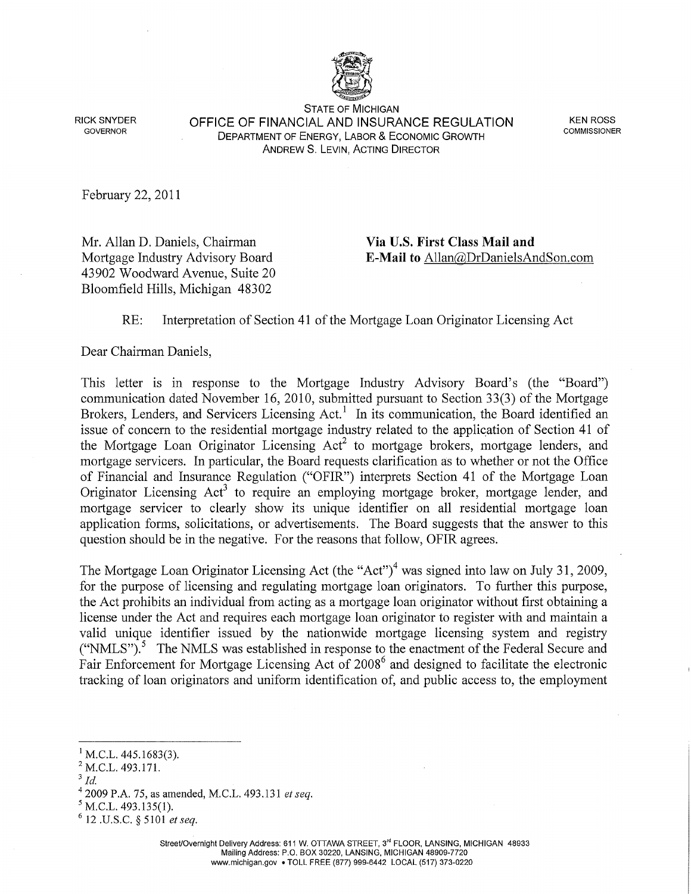

STATE OF MICHIGAN **OFFICE OF FINANCIAL AND INSURANCE REGULATION**  RICK SNYDER KEN ROSS DEPARTMENT OF ENERGY, LABOR & ECONOMIC GROWTH GOVERNOR COMMISSIONER ANDREWS. LEVIN, ACTING DIRECTOR

February 22, 2011

Mr. Allan D. Daniels, Chairman **Via U.S. First Class Mail and**  43902 Woodward Avenue, Suite 20 Bloomfield Hills, Michigan 48302

## Mortgage Industry Advisory Board **E-Mail to** Allan@DrDanielsAndSon.com

## RE: Interpretation of Section 41 of the Mortgage Loan Originator Licensing Act

Dear Chairman Daniels,

This letter is in response to the Mortgage Industry Advisory Board's (the "Board") communication dated November 16, 2010, submitted pursuant to Section 33(3) of the Mortgage Brokers, Lenders, and Servicers Licensing Act.<sup>1</sup> In its communication, the Board identified an issue of concern to the residential mortgage industry related to the application of Section 41 of the Mortgage Loan Originator Licensing  $Act^2$  to mortgage brokers, mortgage lenders, and mortgage servicers. In particular, the Board requests clarification as to whether or not the Office of Financial and Insurance Regulation ("OFIR") interprets Section 41 of the Mortgage Loan Originator Licensing  $Act<sup>3</sup>$  to require an employing mortgage broker, mortgage lender, and mortgage servicer to clearly show its unique identifier on all residential mortgage loan application forms, solicitations, or advertisements. The Board suggests that the answer to this question should be in the negative. For the reasons that follow, OFIR agrees.

The Mortgage Loan Originator Licensing Act (the "Act")<sup>4</sup> was signed into law on July 31, 2009, for the purpose of licensing and regulating mortgage loan originators. To further this purpose, the Act prohibits an individual from acting as a mortgage loan originator without first obtaining a license under the Act and requires each mortgage loan originator to register with and maintain a valid unique identifier issued by the nationwide mortgage licensing system and registry ("NMLS"). 5 The NMLS was established in response to the enactment of the Federal Secure and Fair Enforcement for Mortgage Licensing Act of 2008<sup>6</sup> and designed to facilitate the electronic tracking of loan originators and uniform identification of, and public access to, the employment

 $^{1}$  M.C.L. 445.1683(3).

<sup>&</sup>lt;sup>2</sup> M.C.L. 493.171.

 $3$  Id.

<sup>&</sup>lt;sup>4</sup> 2009 P.A. 75, as amended, M.C.L. 493.131 *et seq.*  $5$  M.C.L. 493.135(1). 6 12 .U.S.C. § 5101 *et seq.*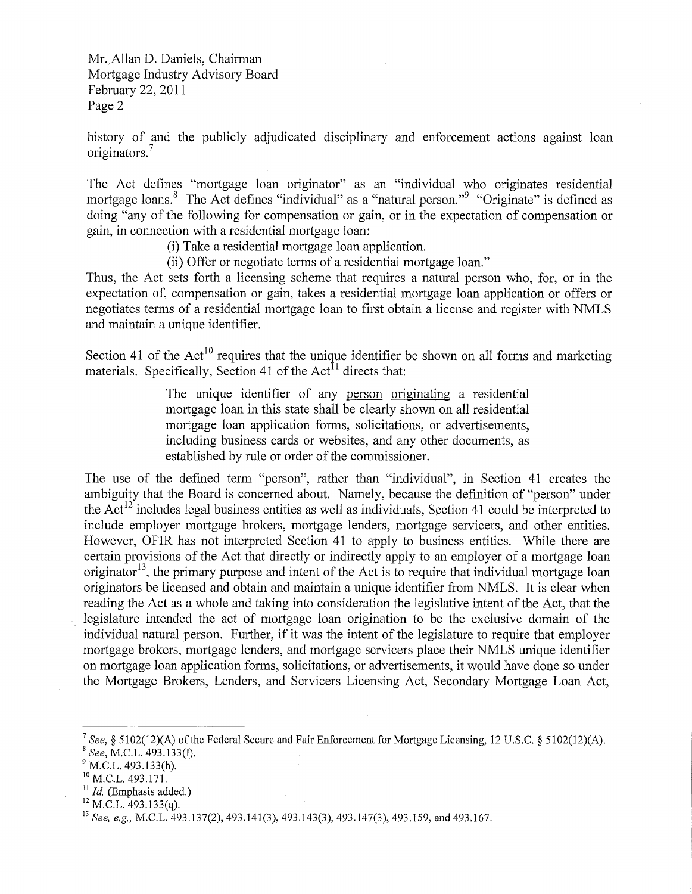Mr.Allan D. Daniels, Chairman Mortgage Industry Advisory Board February 22, 2011 Page 2

history of and the publicly adjudicated disciplinary and enforcement actions against loan originators.<sup>7</sup>

The Act defines "mortgage loan originator" as an "individual who originates residential mortgage loans.<sup>8</sup> The Act defines "individual" as a "natural person."<sup>9</sup> "Originate" is defined as doing "any of the following for compensation or gain, or in the expectation of compensation or gain, in connection with a residential mortgage loan:

- (i) Take a residential mortgage loan application.
- (ii) Offer or negotiate terms of a residential mortgage loan."

Thus, the Act sets forth a licensing scheme that requires a natural person who, for, or in the expectation of, compensation or gain, takes a residential mortgage loan application or offers or negotiates terms of a residential mortgage loan to first obtain a license and register with NMLS and maintain a unique identifier.

Section 41 of the  $Act^{10}$  requires that the unique identifier be shown on all forms and marketing materials. Specifically, Section 41 of the Act<sup>11</sup> directs that:

> The unique identifier of any person originating a residential mortgage loan in this state shall be clearly shown on all residential mortgage loan application forms, solicitations, or advertisements, including business cards or websites, and any other documents, as established by rule or order of the commissioner.

The use of the defined term "person", rather than "individual", in Section 41 creates the ambiguity that the Board is concerned about. Namely, because the definition of "person" under the Act<sup>12</sup> includes legal business entities as well as individuals, Section 41 could be interpreted to include employer mortgage brokers, mortgage lenders, mortgage servicers, and other entities. However, OFIR has not interpreted Section 41 to apply to business entities. While there are certain provisions of the Act that directly or indirectly apply to an employer of a mortgage loan originator<sup>13</sup>, the primary purpose and intent of the Act is to require that individual mortgage loan originators be licensed and obtain and maintain a unique identifier from NMLS. It is clear when reading the Act as a whole and taking into consideration the legislative intent of the Act, that the legislature intended the act of mortgage loan origination to be the exclusive domain of the individual natural person. Further, if it was the intent of the legislature to require that employer mortgage brokers, mortgage lenders, and mortgage servicers place their NMLS unique identifier on mortgage loan application forms, solicitations, or advertisements, it would have done so under the Mortgage Brokers, Lenders, and Servicers Licensing Act, Secondary Mortgage Loan Act,

<sup>&</sup>lt;sup>7</sup> See, § 5102(12)(A) of the Federal Secure and Fair Enforcement for Mortgage Licensing, 12 U.S.C. § 5102(12)(A).<br><sup>8</sup> See, M.C.L. 493.133(h).<br><sup>9</sup> M.C.L. 493.133(h). <sup>10</sup> M.C.L. 493.171. <sup>11</sup> *Id.* (Emphasis added.)

<sup>&</sup>lt;sup>12</sup> M.C.L. 493.133(q).<br><sup>13</sup> *See, e.g., M.C.L. 493.137(2), 493.141(3), 493.143(3), 493.147(3), 493.159, and 493.167.*